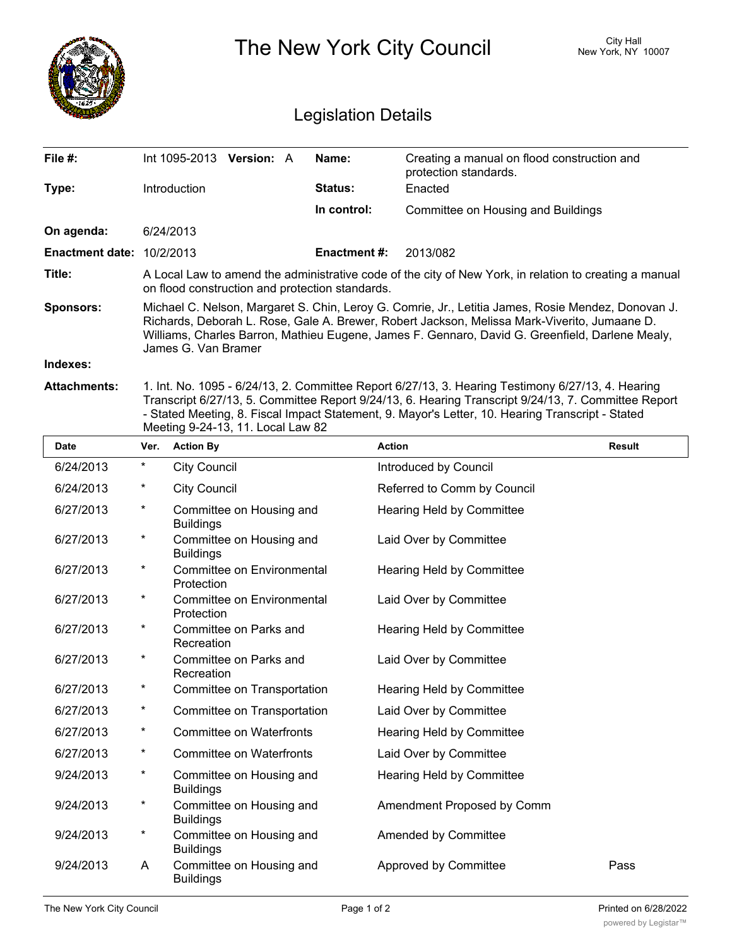|                                  | The New York City Council                                                                                                                                                                                                                                                                                                    |                            |                                                                      | City Hall<br>New York, NY 10007 |  |  |
|----------------------------------|------------------------------------------------------------------------------------------------------------------------------------------------------------------------------------------------------------------------------------------------------------------------------------------------------------------------------|----------------------------|----------------------------------------------------------------------|---------------------------------|--|--|
|                                  |                                                                                                                                                                                                                                                                                                                              | <b>Legislation Details</b> |                                                                      |                                 |  |  |
| File #:                          | Int 1095-2013<br><b>Version: A</b>                                                                                                                                                                                                                                                                                           | Name:                      | Creating a manual on flood construction and<br>protection standards. |                                 |  |  |
| Type:                            | Introduction                                                                                                                                                                                                                                                                                                                 | <b>Status:</b>             | Enacted                                                              |                                 |  |  |
|                                  |                                                                                                                                                                                                                                                                                                                              | In control:                | Committee on Housing and Buildings                                   |                                 |  |  |
| On agenda:                       | 6/24/2013                                                                                                                                                                                                                                                                                                                    |                            |                                                                      |                                 |  |  |
| <b>Enactment date: 10/2/2013</b> |                                                                                                                                                                                                                                                                                                                              | <b>Enactment #:</b>        | 2013/082                                                             |                                 |  |  |
| Title:                           | A Local Law to amend the administrative code of the city of New York, in relation to creating a manual<br>on flood construction and protection standards.                                                                                                                                                                    |                            |                                                                      |                                 |  |  |
| <b>Sponsors:</b>                 | Michael C. Nelson, Margaret S. Chin, Leroy G. Comrie, Jr., Letitia James, Rosie Mendez, Donovan J.<br>Richards, Deborah L. Rose, Gale A. Brewer, Robert Jackson, Melissa Mark-Viverito, Jumaane D.<br>Williams, Charles Barron, Mathieu Eugene, James F. Gennaro, David G. Greenfield, Darlene Mealy,<br>James G. Van Bramer |                            |                                                                      |                                 |  |  |
| Indexes:                         |                                                                                                                                                                                                                                                                                                                              |                            |                                                                      |                                 |  |  |
| <b>Attachments:</b>              | 1. Int. No. 1095 - 6/24/13, 2. Committee Report 6/27/13, 3. Hearing Testimony 6/27/13, 4. Hearing<br>Transcript 6/27/13, 5. Committee Report 9/24/13, 6. Hearing Transcript 9/24/13, 7. Committee Report                                                                                                                     |                            |                                                                      |                                 |  |  |

- Stated Meeting, 8. Fiscal Impact Statement, 9. Mayor's Letter, 10. Hearing Transcript - Stated Meeting 9-24-13, 11. Local Law 82

| <b>Date</b> | Ver.     | <b>Action By</b>                             | <b>Action</b>               | <b>Result</b> |
|-------------|----------|----------------------------------------------|-----------------------------|---------------|
| 6/24/2013   | $\ast$   | <b>City Council</b>                          | Introduced by Council       |               |
| 6/24/2013   | *        | <b>City Council</b>                          | Referred to Comm by Council |               |
| 6/27/2013   | $^\star$ | Committee on Housing and<br><b>Buildings</b> | Hearing Held by Committee   |               |
| 6/27/2013   | $^\star$ | Committee on Housing and<br><b>Buildings</b> | Laid Over by Committee      |               |
| 6/27/2013   | $^\star$ | Committee on Environmental<br>Protection     | Hearing Held by Committee   |               |
| 6/27/2013   | $^\star$ | Committee on Environmental<br>Protection     | Laid Over by Committee      |               |
| 6/27/2013   | $^\star$ | Committee on Parks and<br>Recreation         | Hearing Held by Committee   |               |
| 6/27/2013   | $^\star$ | Committee on Parks and<br>Recreation         | Laid Over by Committee      |               |
| 6/27/2013   | $^\star$ | Committee on Transportation                  | Hearing Held by Committee   |               |
| 6/27/2013   | $^\star$ | Committee on Transportation                  | Laid Over by Committee      |               |
| 6/27/2013   | $^\star$ | <b>Committee on Waterfronts</b>              | Hearing Held by Committee   |               |
| 6/27/2013   | $^\star$ | <b>Committee on Waterfronts</b>              | Laid Over by Committee      |               |
| 9/24/2013   | $^\star$ | Committee on Housing and<br><b>Buildings</b> | Hearing Held by Committee   |               |
| 9/24/2013   | $^\star$ | Committee on Housing and<br><b>Buildings</b> | Amendment Proposed by Comm  |               |
| 9/24/2013   | $^\star$ | Committee on Housing and<br><b>Buildings</b> | Amended by Committee        |               |
| 9/24/2013   | A        | Committee on Housing and<br><b>Buildings</b> | Approved by Committee       | Pass          |